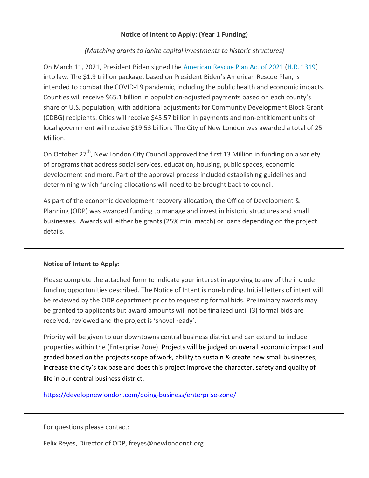## **Notice of Intent to Apply: (Year 1 Funding)**

## *(Matching grants to ignite capital investments to historic structures)*

On March 11, 2021, President Biden signed the [American](https://www.naco.org/sites/default/files/documents/NACo%20Legislative%20Analysis%20for%20Counties_American%20Rescue%20Plan%20Act%20of%202021_Final.pdf) Rescue Plan Act of 2021 (H.R. [1319\)](https://www.congress.gov/bill/117th-congress/house-bill/1319) into law. The \$1.9 trillion package, based on President Biden's American Rescue Plan, is intended to combat the COVID-19 pandemic, including the public health and economic impacts. Counties will receive \$65.1 billion in population-adjusted payments based on each county's share of U.S. population, with additional adjustments for Community Development Block Grant (CDBG) recipients. Cities will receive \$45.57 billion in payments and non-entitlement units of local government will receive \$19.53 billion. The City of New London was awarded a total of 25 Million.

On October 27<sup>th</sup>, New London City Council approved the first 13 Million in funding on a variety of programs that address social services, education, housing, public spaces, economic development and more. Part of the approval process included establishing guidelines and determining which funding allocations will need to be brought back to council.

As part of the economic development recovery allocation, the Office of Development & Planning (ODP) was awarded funding to manage and invest in historic structures and small businesses. Awards will either be grants (25% min. match) or loans depending on the project details.

## **Notice of Intent to Apply:**

Please complete the attached form to indicate your interest in applying to any of the include funding opportunities described. The Notice of Intent is non-binding. Initial letters of intent will be reviewed by the ODP department prior to requesting formal bids. Preliminary awards may be granted to applicants but award amounts will not be finalized until (3) formal bids are received, reviewed and the project is 'shovel ready'.

Priority will be given to our downtowns central business district and can extend to include properties within the (Enterprise Zone). Projects will be judged on overall economic impact and graded based on the projects scope of work, ability to sustain & create new small businesses, increase the city's tax base and does this project improve the character, safety and quality of life in our central business district.

[https://developnewlondon.com/doing](https://developnewlondon.com/doing-business/enterprise-zone/)-business/enterprise-zone/

For questions please contact:

Felix Reyes, Director of ODP, freyes@newlondonct.org